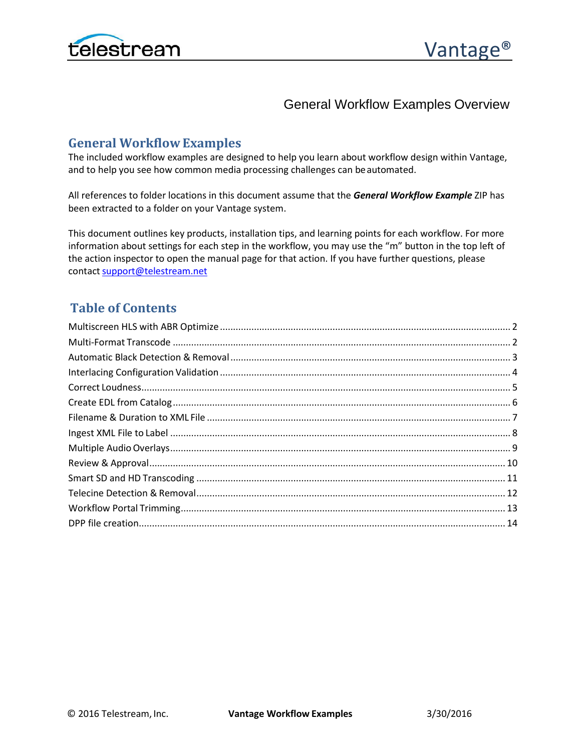

# General Workflow Examples Overview

# **General WorkflowExamples**

The included workflow examples are designed to help you learn about workflow design within Vantage, and to help you see how common media processing challenges can be automated.

All references to folder locations in this document assume that the *General Workflow Example* ZIP has been extracted to a folder on your Vantage system.

This document outlines key products, installation tips, and learning points for each workflow. For more information about settings for each step in the workflow, you may use the "m" button in the top left of the action inspector to open the manual page for that action. If you have further questions, please contact support@telestream.net

# **Table of Contents**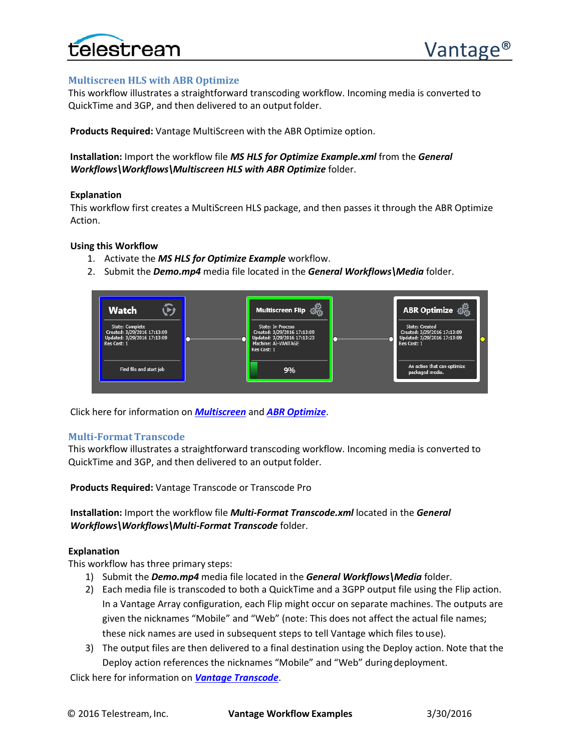

# <span id="page-1-0"></span>**Multiscreen HLS with ABR Optimize**

This workflow illustrates a straightforward transcoding workflow. Incoming media is converted to QuickTime and 3GP, and then delivered to an output folder.

**Products Required:** Vantage MultiScreen with the ABR Optimize option.

# **Installation:** Import the workflow file *MS HLS for Optimize Example.xml* from the *General Workflows\Workflows\Multiscreen HLS with ABR Optimize* folder.

# **Explanation**

This workflow first creates a MultiScreen HLS package, and then passes it through the ABR Optimize Action.

# **Using this Workflow**

- 1. Activate the *MS HLS for Optimize Example* workflow.
- 2. Submit the *Demo.mp4* media file located in the *General Workflows\Media* folder.



Click here for information on *[Multiscreen](http://www.telestream.net/vantage/vantage-multiscreen.htm)* and *[ABR Optimize](http://www.telestream.net/pdfs/app-notes/app-Vantage-ABR-Optimize.pdf)*.

# <span id="page-1-1"></span>**Multi-Format Transcode**

This workflow illustrates a straightforward transcoding workflow. Incoming media is converted to QuickTime and 3GP, and then delivered to an output folder.

**Products Required:** Vantage Transcode or Transcode Pro

**Installation:** Import the workflow file *Multi-Format Transcode.xml* located in the *General Workflows\Workflows\Multi-Format Transcode* folder.

#### **Explanation**

This workflow has three primary steps:

- 1) Submit the *Demo.mp4* media file located in the *General Workflows\Media* folder.
- 2) Each media file is transcoded to both a QuickTime and a 3GPP output file using the Flip action. In a Vantage Array configuration, each Flip might occur on separate machines. The outputs are given the nicknames "Mobile" and "Web" (note: This does not affect the actual file names; these nick names are used in subsequent steps to tell Vantage which files touse).
- 3) The output files are then delivered to a final destination using the Deploy action. Note that the Deploy action references the nicknames "Mobile" and "Web" duringdeployment.

Click here for information on *[Vantage Transcode](http://www.telestream.net/vantage/overview_transcode.htm)*.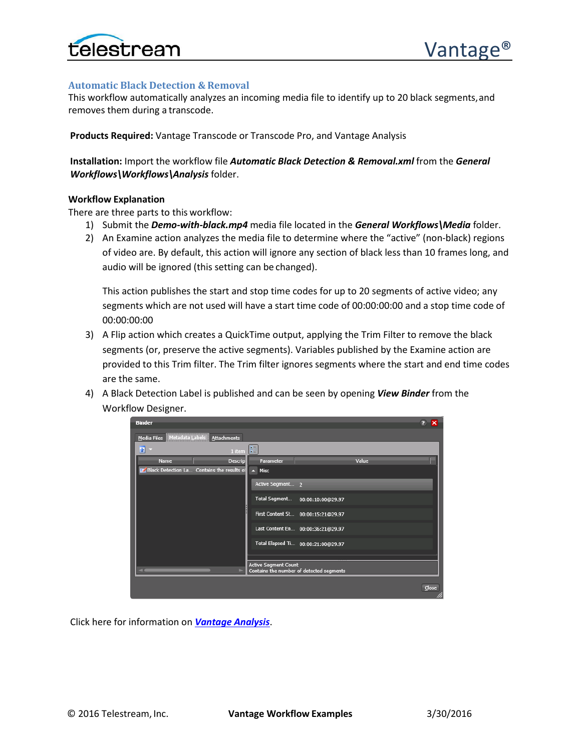

# <span id="page-2-0"></span>**Automatic Black Detection & Removal**

This workflow automatically analyzes an incoming media file to identify up to 20 black segments,and removes them during a transcode.

**Products Required:** Vantage Transcode or Transcode Pro, and Vantage Analysis

**Installation:** Import the workflow file *Automatic Black Detection & Removal.xml* from the *General Workflows\Workflows\Analysis* folder.

#### **Workflow Explanation**

There are three parts to this workflow:

- 1) Submit the *Demo-with-black.mp4* media file located in the *General Workflows\Media* folder.
- 2) An Examine action analyzes the media file to determine where the "active" (non-black) regions of video are. By default, this action will ignore any section of black less than 10 frames long, and audio will be ignored (this setting can be changed).

This action publishes the start and stop time codes for up to 20 segments of active video; any segments which are not used will have a start time code of 00:00:00:00 and a stop time code of 00:00:00:00

- 3) A Flip action which creates a QuickTime output, applying the Trim Filter to remove the black segments (or, preserve the active segments). Variables published by the Examine action are provided to this Trim filter. The Trim filter ignores segments where the start and end time codes are the same.
- 4) A Black Detection Label is published and can be seen by opening *View Binder* from the Workflow Designer.



Click here for information on *[Vantage Analysis](http://www.telestream.net/vantage/vantage-analysis.htm)*.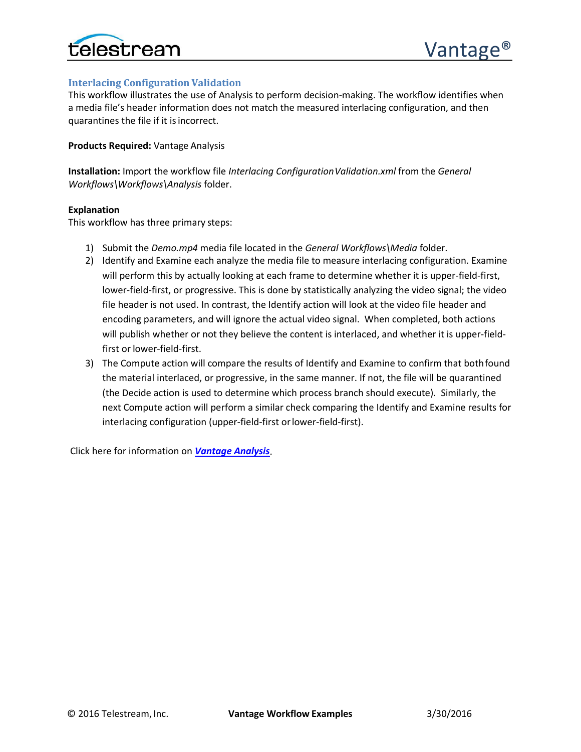

# <span id="page-3-0"></span>**Interlacing Configuration Validation**

This workflow illustrates the use of Analysis to perform decision-making. The workflow identifies when a media file's header information does not match the measured interlacing configuration, and then quarantines the file if it is incorrect.

### **Products Required:** Vantage Analysis

**Installation:** Import the workflow file *Interlacing Configuration Validation.xml* from the *General Workflows\Workflows\Analysis* folder.

#### **Explanation**

This workflow has three primary steps:

- 1) Submit the *Demo.mp4* media file located in the *General Workflows\Media* folder.
- 2) Identify and Examine each analyze the media file to measure interlacing configuration. Examine will perform this by actually looking at each frame to determine whether it is upper-field-first, lower-field-first, or progressive. This is done by statistically analyzing the video signal; the video file header is not used. In contrast, the Identify action will look at the video file header and encoding parameters, and will ignore the actual video signal. When completed, both actions will publish whether or not they believe the content is interlaced, and whether it is upper-fieldfirst or lower-field-first.
- 3) The Compute action will compare the results of Identify and Examine to confirm that bothfound the material interlaced, or progressive, in the same manner. If not, the file will be quarantined (the Decide action is used to determine which process branch should execute). Similarly, the next Compute action will perform a similar check comparing the Identify and Examine results for interlacing configuration (upper-field-first orlower-field-first).

Click here for information on *[Vantage Analysis](http://www.telestream.net/vantage/vantage-analysis.htm)*.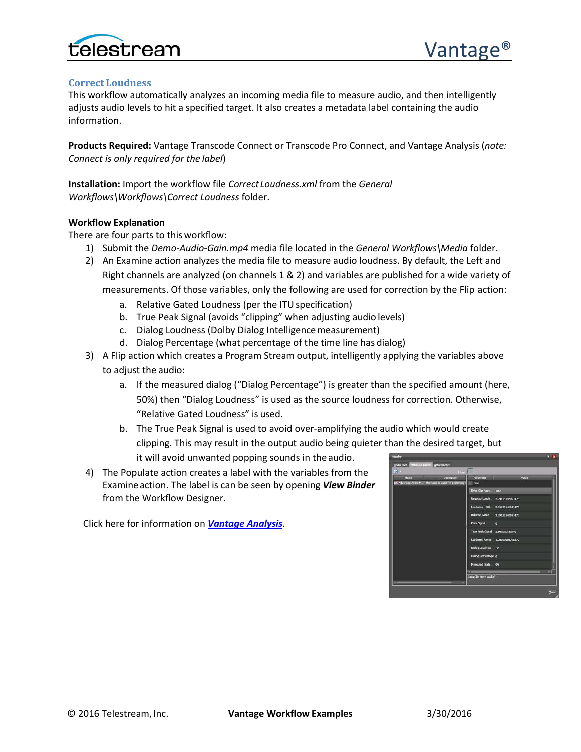

#### <span id="page-4-0"></span>**Correct Loudness**

This workflow automatically analyzes an incoming media file to measure audio, and then intelligently adjusts audio levels to hit a specified target. It also creates a metadata label containing the audio information.

**Products Required:** Vantage Transcode Connect or Transcode Pro Connect, and Vantage Analysis (*note: Connect is only required for the label*)

**Installation:** Import the workflow file *CorrectLoudness.xml* from the *General Workflows\Workflows\Correct Loudness* folder.

#### **Workflow Explanation**

There are four parts to this workflow:

- 1) Submit the *Demo-Audio-Gain.mp4* media file located in the *General Workflows\Media* folder.
- 2) An Examine action analyzes the media file to measure audio loudness. By default, the Left and Right channels are analyzed (on channels 1 & 2) and variables are published for a wide variety of measurements. Of those variables, only the following are used for correction by the Flip action:
	- a. Relative Gated Loudness (per the ITUspecification)
	- b. True Peak Signal (avoids "clipping" when adjusting audio levels)
	- c. Dialog Loudness (Dolby Dialog Intelligencemeasurement)
	- d. Dialog Percentage (what percentage of the time line has dialog)
- 3) A Flip action which creates a Program Stream output, intelligently applying the variables above to adjust the audio:
	- a. If the measured dialog ("Dialog Percentage") is greater than the specified amount (here, 50%) then "Dialog Loudness" is used as the source loudness for correction. Otherwise, "Relative Gated Loudness" is used.
	- b. The True Peak Signal is used to avoid over-amplifying the audio which would create clipping. This may result in the output audio being quieter than the desired target, but it will avoid unwanted popping sounds in the audio.
- 4) The Populate action creates a label with the variables from the Examineaction. The label is can be seen by opening *View Binder* from the Workflow Designer.

Click here for information on *[Vantage Analysis](http://www.telestream.net/vantage/vantage-analysis.htm)*.

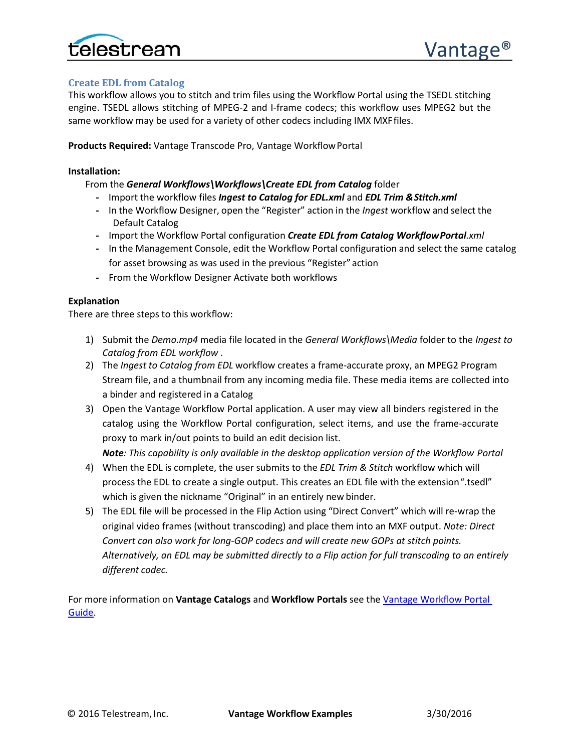

# <span id="page-5-0"></span>**Create EDL from Catalog**

This workflow allows you to stitch and trim files using the Workflow Portal using the TSEDL stitching engine. TSEDL allows stitching of MPEG-2 and I-frame codecs; this workflow uses MPEG2 but the same workflow may be used for a variety of other codecs including IMX MXFfiles.

**Products Required:** Vantage Transcode Pro, Vantage WorkflowPortal

# **Installation:**

From the *General Workflows\Workflows\Create EDL from Catalog* folder

- **-** Import the workflow files *Ingest to Catalog for EDL.xml* and *EDL Trim &Stitch.xml*
- **-** In the Workflow Designer, open the "Register" action in the *Ingest* workflow and select the Default Catalog
- **-** Import the Workflow Portal configuration *Create EDL from Catalog WorkflowPortal.xml*
- **-** In the Management Console, edit the Workflow Portal configuration and select the same catalog for asset browsing as was used in the previous "Register"action
- **-** From the Workflow Designer Activate both workflows

# **Explanation**

There are three steps to this workflow:

- 1) Submit the *Demo.mp4* media file located in the *General Workflows\Media* folder to the *Ingest to Catalog from EDL workflow* .
- 2) The *Ingest to Catalog from EDL* workflow creates a frame-accurate proxy, an MPEG2 Program Stream file, and a thumbnail from any incoming media file. These media items are collected into a binder and registered in a Catalog
- 3) Open the Vantage Workflow Portal application. A user may view all binders registered in the catalog using the Workflow Portal configuration, select items, and use the frame-accurate proxy to mark in/out points to build an edit decision list.

*Note: This capability is only available in the desktop application version of the Workflow Portal*

- 4) When the EDL is complete, the user submits to the *EDL Trim & Stitch* workflow which will process the EDL to create a single output. This creates an EDL file with the extension".tsedl" which is given the nickname "Original" in an entirely new binder.
- 5) The EDL file will be processed in the Flip Action using "Direct Convert" which will re-wrap the original video frames (without transcoding) and place them into an MXF output. *Note: Direct Convert can also work for long-GOP codecs and will create new GOPs at stitch points. Alternatively, an EDL may be submitted directly to a Flip action for full transcoding to an entirely different codec.*

For more information on **Vantage Catalogs** and **Workflow Portals** see th[e Vantage Workflow Portal](http://www.telestream.net/pdfs/user-guides/Vantage-UserGuides/Vantage-WorkFlow-Portal-Guide.pdf)  [Guide.](http://www.telestream.net/pdfs/user-guides/Vantage-UserGuides/Vantage-WorkFlow-Portal-Guide.pdf)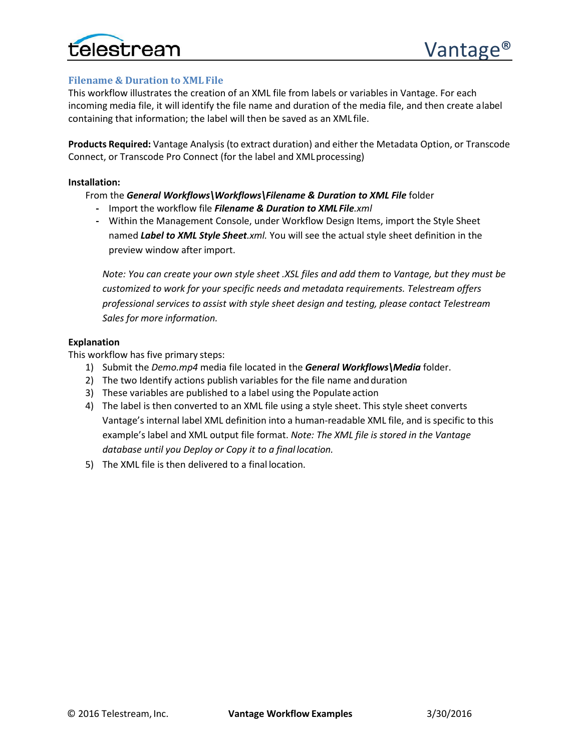

# <span id="page-6-0"></span>**Filename & Duration to XML File**

This workflow illustrates the creation of an XML file from labels or variables in Vantage. For each incoming media file, it will identify the file name and duration of the media file, and then create alabel containing that information; the label will then be saved as an XML file.

**Products Required:** Vantage Analysis (to extract duration) and either the Metadata Option, or Transcode Connect, or Transcode Pro Connect (for the label and XMLprocessing)

#### **Installation:**

# From the *General Workflows\Workflows\Filename & Duration to XML File* folder

- **-** Import the workflow file *Filename & Duration to XML File.xml*
- **-** Within the Management Console, under Workflow Design Items, import the Style Sheet named *Label to XML Style Sheet.xml.* You will see the actual style sheet definition in the preview window after import.

*Note: You can create your own style sheet .XSL files and add them to Vantage, but they must be customized to work for your specific needs and metadata requirements. Telestream offers professional services to assist with style sheet design and testing, please contact Telestream Sales for more information.*

# **Explanation**

This workflow has five primary steps:

- 1) Submit the *Demo.mp4* media file located in the *General Workflows\Media* folder.
- 2) The two Identify actions publish variables for the file name and duration
- 3) These variables are published to a label using the Populate action
- 4) The label is then converted to an XML file using a style sheet. This style sheet converts Vantage's internal label XML definition into a human-readable XML file, and is specific to this example's label and XML output file format. *Note: The XML file is stored in the Vantage database until you Deploy or Copy it to a final location.*
- 5) The XML file is then delivered to a final location.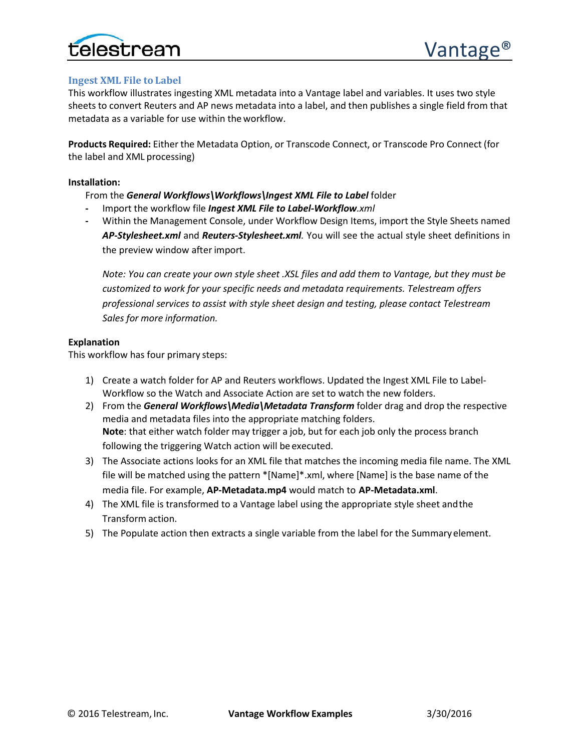

# <span id="page-7-0"></span>**Ingest XML File to Label**

This workflow illustrates ingesting XML metadata into a Vantage label and variables. It uses two style sheets to convert Reuters and AP news metadata into a label, and then publishes a single field from that metadata as a variable for use within the workflow.

**Products Required:** Either the Metadata Option, or Transcode Connect, or Transcode Pro Connect (for the label and XML processing)

#### **Installation:**

From the *General Workflows\Workflows\Ingest XML File to Label* folder

- **-** Import the workflow file *Ingest XML File to Label-Workflow.xml*
- **-** Within the Management Console, under Workflow Design Items, import the Style Sheets named *AP-Stylesheet.xml* and *Reuters-Stylesheet.xml.* You will see the actual style sheet definitions in the preview window after import.

*Note: You can create your own style sheet .XSL files and add them to Vantage, but they must be customized to work for your specific needs and metadata requirements. Telestream offers professional services to assist with style sheet design and testing, please contact Telestream Sales for more information.*

#### **Explanation**

This workflow has four primary steps:

- 1) Create a watch folder for AP and Reuters workflows. Updated the Ingest XML File to Label-Workflow so the Watch and Associate Action are set to watch the new folders.
- 2) From the *General Workflows\Media\Metadata Transform* folder drag and drop the respective media and metadata files into the appropriate matching folders. **Note**: that either watch folder may trigger a job, but for each job only the process branch following the triggering Watch action will be executed.
- 3) The Associate actions looks for an XML file that matches the incoming media file name. The XML file will be matched using the pattern \*[Name]\*.xml, where [Name] is the base name of the media file. For example, **AP-Metadata.mp4** would match to **AP-Metadata.xml**.
- 4) The XML file is transformed to a Vantage label using the appropriate style sheet andthe Transform action.
- 5) The Populate action then extracts a single variable from the label for the Summaryelement.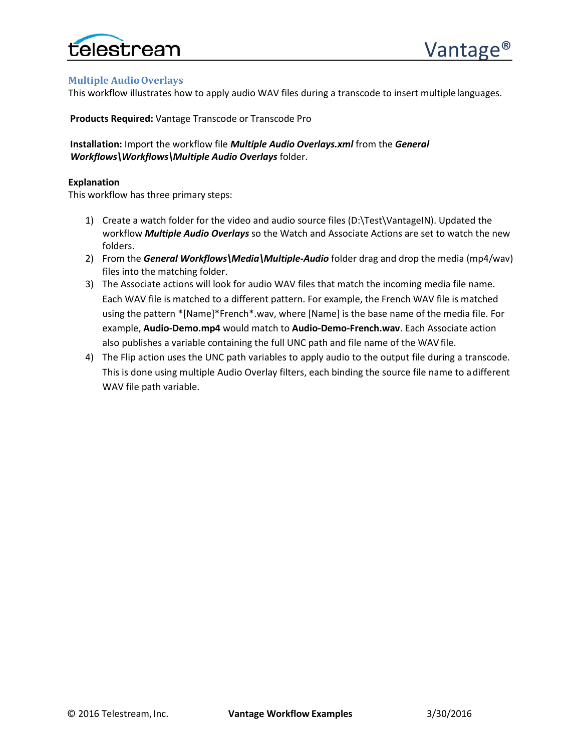

# <span id="page-8-0"></span>**Multiple AudioOverlays**

This workflow illustrates how to apply audio WAV files during a transcode to insert multiplelanguages.

**Products Required:** Vantage Transcode or Transcode Pro

**Installation:** Import the workflow file *Multiple Audio Overlays.xml* from the *General Workflows\Workflows\Multiple Audio Overlays* folder.

### **Explanation**

This workflow has three primary steps:

- 1) Create a watch folder for the video and audio source files (D:\Test\VantageIN). Updated the workflow *Multiple Audio Overlays* so the Watch and Associate Actions are set to watch the new folders.
- 2) From the *General Workflows\Media\Multiple-Audio* folder drag and drop the media (mp4/wav) files into the matching folder.
- 3) The Associate actions will look for audio WAV files that match the incoming media file name. Each WAV file is matched to a different pattern. For example, the French WAV file is matched using the pattern \*[Name]\*French\*.wav, where [Name] is the base name of the media file. For example, **Audio-Demo.mp4** would match to **Audio-Demo-French.wav**. Each Associate action also publishes a variable containing the full UNC path and file name of the WAVfile.
- 4) The Flip action uses the UNC path variables to apply audio to the output file during a transcode. This is done using multiple Audio Overlay filters, each binding the source file name to adifferent WAV file path variable.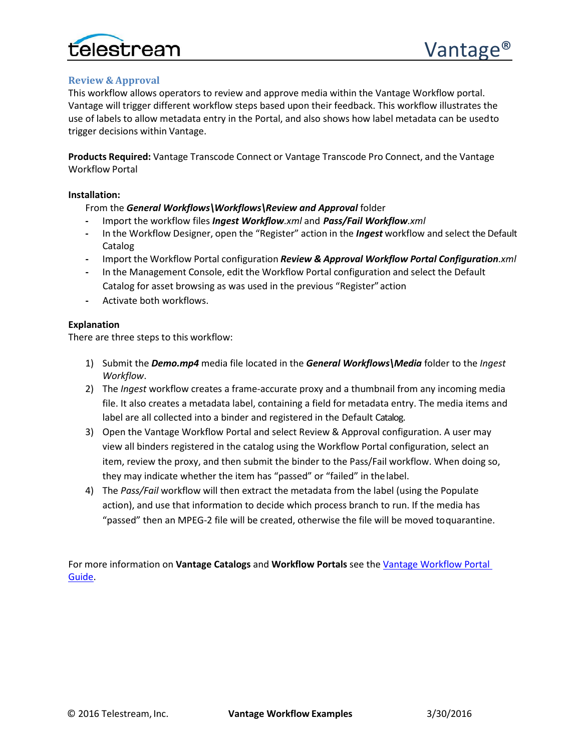

# <span id="page-9-0"></span>**Review & Approval**

This workflow allows operators to review and approve media within the Vantage Workflow portal. Vantage will trigger different workflow steps based upon their feedback. This workflow illustrates the use of labels to allow metadata entry in the Portal, and also shows how label metadata can be usedto trigger decisions within Vantage.

**Products Required:** Vantage Transcode Connect or Vantage Transcode Pro Connect, and the Vantage Workflow Portal

# **Installation:**

From the *General Workflows\Workflows\Review and Approval* folder

- **-** Import the workflow files *Ingest Workflow.xml* and *Pass/Fail Workflow.xml*
- **-** In the Workflow Designer, open the "Register" action in the *Ingest* workflow and select the Default Catalog
- **-** Import the Workflow Portal configuration *Review & Approval Workflow Portal Configuration.xml*
- **-** In the Management Console, edit the Workflow Portal configuration and select the Default Catalog for asset browsing as was used in the previous "Register"action
- **-** Activate both workflows.

# **Explanation**

There are three steps to this workflow:

- 1) Submit the *Demo.mp4* media file located in the *General Workflows\Media* folder to the *Ingest Workflow*.
- 2) The *Ingest* workflow creates a frame-accurate proxy and a thumbnail from any incoming media file. It also creates a metadata label, containing a field for metadata entry. The media items and label are all collected into a binder and registered in the Default Catalog.
- 3) Open the Vantage Workflow Portal and select Review & Approval configuration. A user may view all binders registered in the catalog using the Workflow Portal configuration, select an item, review the proxy, and then submit the binder to the Pass/Fail workflow. When doing so, they may indicate whether the item has "passed" or "failed" in thelabel.
- 4) The *Pass/Fail* workflow will then extract the metadata from the label (using the Populate action), and use that information to decide which process branch to run. If the media has "passed" then an MPEG-2 file will be created, otherwise the file will be moved toquarantine.

For more information on **Vantage Catalogs** and **Workflow Portals** see th[e Vantage Workflow Portal](http://www.telestream.net/pdfs/user-guides/Vantage-UserGuides/Vantage-WorkFlow-Portal-Guide.pdf)  [Guide.](http://www.telestream.net/pdfs/user-guides/Vantage-UserGuides/Vantage-WorkFlow-Portal-Guide.pdf)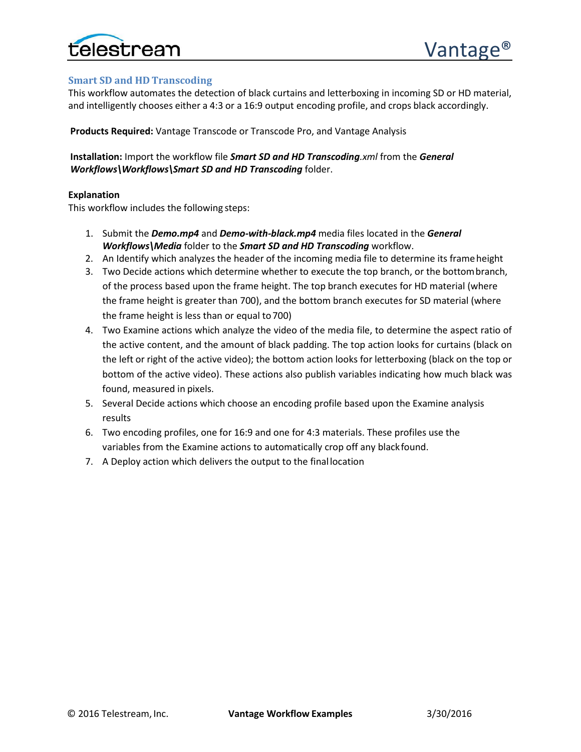

# <span id="page-10-0"></span>**Smart SD and HD Transcoding**

This workflow automates the detection of black curtains and letterboxing in incoming SD or HD material, and intelligently chooses either a 4:3 or a 16:9 output encoding profile, and crops black accordingly.

**Products Required:** Vantage Transcode or Transcode Pro, and Vantage Analysis

**Installation:** Import the workflow file *Smart SD and HD Transcoding.xml* from the *General Workflows\Workflows\Smart SD and HD Transcoding* folder.

# **Explanation**

This workflow includes the following steps:

- 1. Submit the *Demo.mp4* and *Demo-with-black.mp4* media files located in the *General Workflows\Media* folder to the *Smart SD and HD Transcoding* workflow.
- 2. An Identify which analyzes the header of the incoming media file to determine its frameheight
- 3. Two Decide actions which determine whether to execute the top branch, or the bottombranch, of the process based upon the frame height. The top branch executes for HD material (where the frame height is greater than 700), and the bottom branch executes for SD material (where the frame height is less than or equal to 700)
- 4. Two Examine actions which analyze the video of the media file, to determine the aspect ratio of the active content, and the amount of black padding. The top action looks for curtains (black on the left or right of the active video); the bottom action looks for letterboxing (black on the top or bottom of the active video). These actions also publish variables indicating how much black was found, measured in pixels.
- 5. Several Decide actions which choose an encoding profile based upon the Examine analysis results
- 6. Two encoding profiles, one for 16:9 and one for 4:3 materials. These profiles use the variables from the Examine actions to automatically crop off any blackfound.
- 7. A Deploy action which delivers the output to the finallocation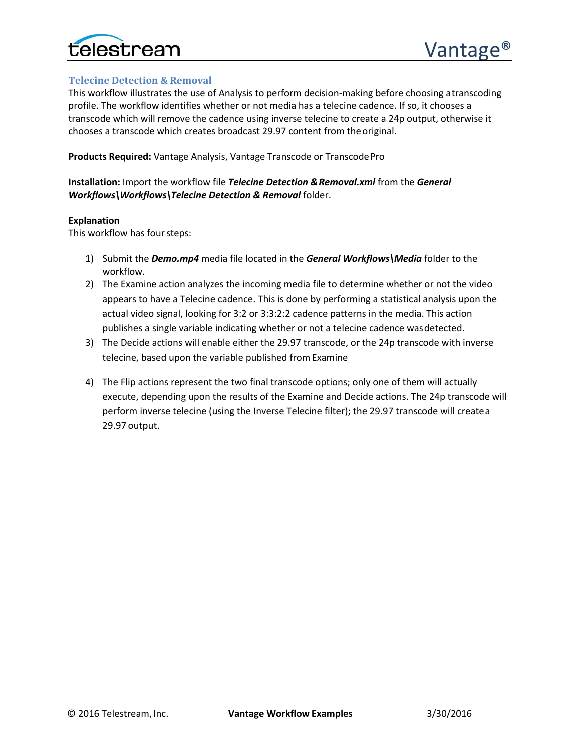

# <span id="page-11-0"></span>**Telecine Detection & Removal**

This workflow illustrates the use of Analysis to perform decision-making before choosing atranscoding profile. The workflow identifies whether or not media has a telecine cadence. If so, it chooses a transcode which will remove the cadence using inverse telecine to create a 24p output, otherwise it chooses a transcode which creates broadcast 29.97 content from theoriginal.

**Products Required:** Vantage Analysis, Vantage Transcode or TranscodePro

# **Installation:** Import the workflow file *Telecine Detection &Removal.xml* from the *General Workflows\Workflows\Telecine Detection & Removal* folder.

#### **Explanation**

This workflow has four steps:

- 1) Submit the *Demo.mp4* media file located in the *General Workflows\Media* folder to the workflow.
- 2) The Examine action analyzes the incoming media file to determine whether or not the video appears to have a Telecine cadence. This is done by performing a statistical analysis upon the actual video signal, looking for 3:2 or 3:3:2:2 cadence patterns in the media. This action publishes a single variable indicating whether or not a telecine cadence wasdetected.
- 3) The Decide actions will enable either the 29.97 transcode, or the 24p transcode with inverse telecine, based upon the variable published fromExamine
- 4) The Flip actions represent the two final transcode options; only one of them will actually execute, depending upon the results of the Examine and Decide actions. The 24p transcode will perform inverse telecine (using the Inverse Telecine filter); the 29.97 transcode will createa 29.97 output.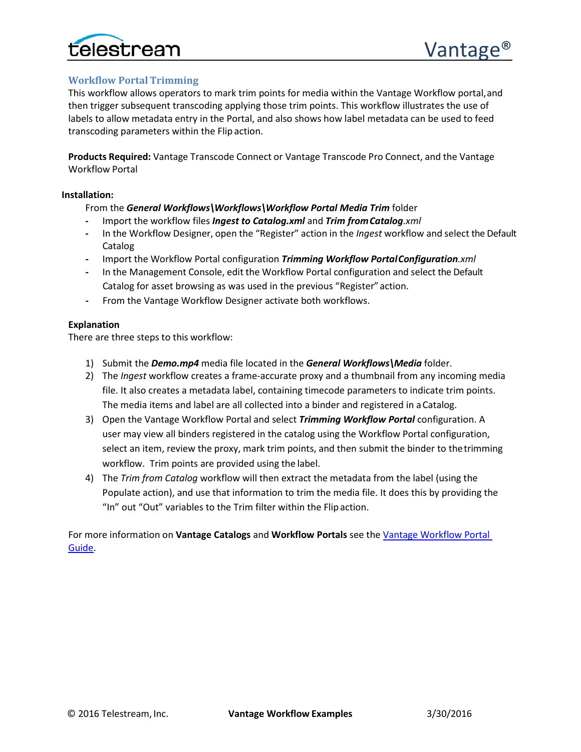

# <span id="page-12-0"></span>**Workflow Portal Trimming**

This workflow allows operators to mark trim points for media within the Vantage Workflow portal,and then trigger subsequent transcoding applying those trim points. This workflow illustrates the use of labels to allow metadata entry in the Portal, and also shows how label metadata can be used to feed transcoding parameters within the Flip action.

**Products Required:** Vantage Transcode Connect or Vantage Transcode Pro Connect, and the Vantage Workflow Portal

#### **Installation:**

From the *General Workflows\Workflows\Workflow Portal Media Trim* folder

- **-** Import the workflow files *Ingest to Catalog.xml* and *Trim fromCatalog.xml*
- **-** In the Workflow Designer, open the "Register" action in the *Ingest* workflow and select the Default Catalog
- **-** Import the Workflow Portal configuration *Trimming Workflow PortalConfiguration.xml*
- **-** In the Management Console, edit the Workflow Portal configuration and select the Default Catalog for asset browsing as was used in the previous "Register"action.
- **-** From the Vantage Workflow Designer activate both workflows.

# **Explanation**

There are three steps to this workflow:

- 1) Submit the *Demo.mp4* media file located in the *General Workflows\Media* folder.
- 2) The *Ingest* workflow creates a frame-accurate proxy and a thumbnail from any incoming media file. It also creates a metadata label, containing timecode parameters to indicate trim points. The media items and label are all collected into a binder and registered in aCatalog.
- 3) Open the Vantage Workflow Portal and select *Trimming Workflow Portal* configuration. A user may view all binders registered in the catalog using the Workflow Portal configuration, select an item, review the proxy, mark trim points, and then submit the binder to thetrimming workflow. Trim points are provided using the label.
- 4) The *Trim from Catalog* workflow will then extract the metadata from the label (using the Populate action), and use that information to trim the media file. It does this by providing the "In" out "Out" variables to the Trim filter within the Flipaction.

For more information on **Vantage Catalogs** and **Workflow Portals** see th[e Vantage Workflow Portal](http://www.telestream.net/pdfs/user-guides/Vantage-UserGuides/Vantage-WorkFlow-Portal-Guide.pdf)  [Guide.](http://www.telestream.net/pdfs/user-guides/Vantage-UserGuides/Vantage-WorkFlow-Portal-Guide.pdf)